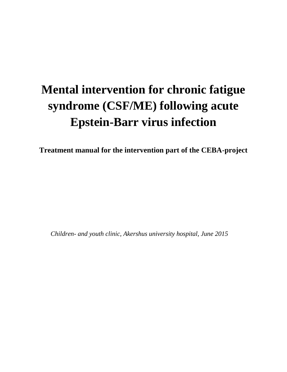# **Mental intervention for chronic fatigue syndrome (CSF/ME) following acute Epstein-Barr virus infection**

**Treatment manual for the intervention part of the CEBA-project**

*Children- and youth clinic, Akershus university hospital, June 2015*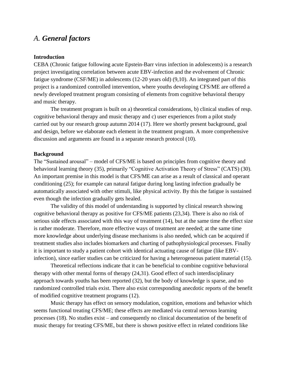# *A. General factors*

#### **Introduction**

CEBA (Chronic fatigue following acute Epstein-Barr virus infection in adolescents) is a research project investigating correlation between acute EBV-infection and the evolvement of Chronic fatigue syndrome (CSF/ME) in adolescents (12-20 years old) (9,10). An integrated part of this project is a randomized controlled intervention, where youths developing CFS/ME are offered a newly developed treatment program consisting of elements from cognitive behavioral therapy and music therapy.

The treatment program is built on a) theoretical considerations, b) clinical studies of resp. cognitive behavioral therapy and music therapy and c) user experiences from a pilot study carried out by our research group autumn 2014 (17). Here we shortly present background, goal and design, before we elaborate each element in the treatment program. A more comprehensive discussion and arguments are found in a separate research protocol (10).

#### **Background**

The "Sustained arousal" – model of CFS/ME is based on principles from cognitive theory and behavioral learning theory (35), primarily "Cognitive Activation Theory of Stress" (CATS) (30). An important premise in this model is that CFS/ME can arise as a result of classical and operant conditioning (25); for example can natural fatigue during long lasting infection gradually be automatically associated with other stimuli, like physical activity. By this the fatigue is sustained even though the infection gradually gets healed.

The validity of this model of understanding is supported by clinical research showing cognitive behavioral therapy as positive for CFS/ME patients (23,34). There is also no risk of serious side effects associated with this way of treatment (14), but at the same time the effect size is rather moderate. Therefore, more effective ways of treatment are needed; at the same time more knowledge about underlying disease mechanisms is also needed, which can be acquired if treatment studies also includes biomarkers and charting of pathophysiological processes. Finally it is important to study a patient cohort with identical actuating cause of fatigue (like EBVinfection), since earlier studies can be criticized for having a heterogeneous patient material (15).

Theoretical reflections indicate that it can be beneficial to combine cognitive behavioral therapy with other mental forms of therapy (24,31). Good effect of such interdisciplinary approach towards youths has been reported (32), but the body of knowledge is sparse, and no randomized controlled trials exist. There also exist corresponding anecdotic reports of the benefit of modified cognitive treatment programs (12).

Music therapy has effect on sensory modulation, cognition, emotions and behavior which seems functional treating CFS/ME; these effects are mediated via central nervous learning processes (18). No studies exist – and consequently no clinical documentation of the benefit of music therapy for treating CFS/ME, but there is shown positive effect in related conditions like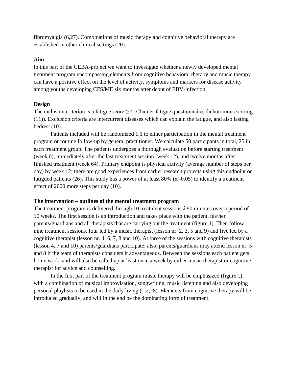fibromyalgia (6,27). Combinations of music therapy and cognitive behavioral therapy are established in other clinical settings (20).

#### **Aim**

In this part of the CEBA-project we want to investigate whether a newly developed mental treatment program encompassing elements from cognitive behavioral therapy and music therapy can have a positive effect on the level of activity, symptoms and markers for disease activity among youths developing CFS/ME six months after debut of EBV-infection.

#### **Design**

The inclusion criterion is a fatigue score  $\geq$  4 (Chalder fatigue questionnaire, dichotomous scoring (11)). Exclusion criteria are intercurrent diseases which can explain the fatigue, and also lasting bedrest (10).

Patients included will be randomized 1:1 to either participation in the mental treatment program or routine follow-up by general practitioner. We calculate 50 participants in total, 25 in each treatment group. The patients undergoes a thorough evaluation before starting treatment (week 0), immediately after the last treatment session (week 12), and twelve months after finished treatment (week 64). Primary endpoint is physical activity (average number of steps per day) by week 12; there are good experiences from earlier research projects using this endpoint on fatigued patients (26). This study has a power of at least 80% ( $\alpha$ =0.05) to identify a treatment effect of 2000 more steps per day (10).

#### **The intervention – outlines of the mental treatment program**

The treatment program is delivered through 10 treatment sessions á 90 minutes over a period of 10 weeks. The first session is an introduction and takes place with the patient, his/her parents/guardians and all therapists that are carrying out the treatment (figure 1). Then follow nine treatment sessions, four led by a music therapist (lesson nr. 2, 3, 5 and 9) and five led by a cognitive therapist (lesson nr. 4, 6, 7, 8 and 10). At three of the sessions with cognitive therapists (lesson 4, 7 and 10) parents/guardians participate; also, parents/guardians may attend lesson nr. 5 and 8 if the team of therapists considers it advantageous. Between the sessions each patient gets home work, and will also be called up at least once a week by either music therapist or cognitive therapist for advice and counselling.

In the first part of the treatment program music therapy will be emphasized (figure 1), with a combination of musical improvisation, songwriting, music listening and also developing personal playlists to be used in the daily living (1,2,28). Elements from cognitive therapy will be introduced gradually, and will in the end be the dominating form of treatment.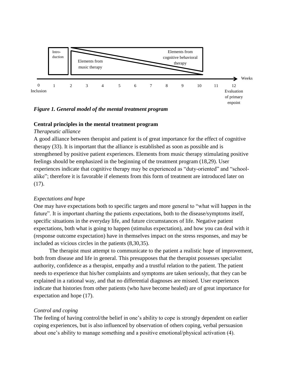

*Figure 1. General model of the mental treatment program*

#### **Central principles in the mental treatment program**

#### *Therapeutic alliance*

A good alliance between therapist and patient is of great importance for the effect of cognitive therapy (33). It is important that the alliance is established as soon as possible and is strengthened by positive patient experiences. Elements from music therapy stimulating positive feelings should be emphasized in the beginning of the treatment program (18,29). User experiences indicate that cognitive therapy may be experienced as "duty-oriented" and "schoolalike"; therefore it is favorable if elements from this form of treatment are introduced later on (17).

# *Expectations and hope*

One may have expectations both to specific targets and more general to "what will happen in the future". It is important charting the patients expectations, both to the disease/symptoms itself, specific situations in the everyday life, and future circumstances of life. Negative patient expectations, both what is going to happen (stimulus expectation), and how you can deal with it (response outcome expectation) have in themselves impact on the stress responses, and may be included as vicious circles in the patients (8,30,35).

The therapist must attempt to communicate to the patient a realistic hope of improvement, both from disease and life in general. This presupposes that the therapist possesses specialist authority, confidence as a therapist, empathy and a trustful relation to the patient. The patient needs to experience that his/her complaints and symptoms are taken seriously, that they can be explained in a rational way, and that no differential diagnoses are missed. User experiences indicate that histories from other patients (who have become healed) are of great importance for expectation and hope (17).

#### *Control and coping*

The feeling of having control/the belief in one's ability to cope is strongly dependent on earlier coping experiences, but is also influenced by observation of others coping, verbal persuasion about one's ability to manage something and a positive emotional/physical activation (4).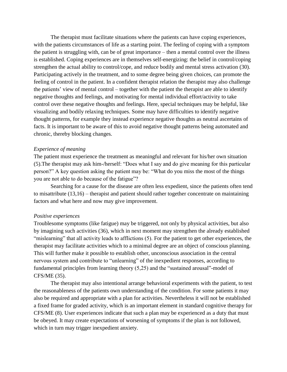The therapist must facilitate situations where the patients can have coping experiences, with the patients circumstances of life as a starting point. The feeling of coping with a symptom the patient is struggling with, can be of great importance – then a mental control over the illness is established. Coping experiences are in themselves self-energizing: the belief in control/coping strengthen the actual ability to control/cope, and reduce bodily and mental stress activation (30). Participating actively in the treatment, and to some degree being given choices, can promote the feeling of control in the patient. In a confident therapist relation the therapist may also challenge the patients' view of mental control – together with the patient the therapist are able to identify negative thoughts and feelings, and motivating for mental individual effort/activity to take control over these negative thoughts and feelings. Here, special techniques may be helpful, like visualizing and bodily relaxing techniques. Some may have difficulties to identify negative thought patterns, for example they instead experience negative thoughts as neutral ascertains of facts. It is important to be aware of this to avoid negative thought patterns being automated and chronic, thereby blocking changes.

#### *Experience of meaning*

The patient must experience the treatment as meaningful and relevant for his/her own situation (5).The therapist may ask him-/herself: "Does what I say and do give meaning for this particular person?" A key question asking the patient may be: "What do you miss the most of the things you are not able to do because of the fatigue"?

Searching for a cause for the disease are often less expedient, since the patients often tend to misattribute (13,16) – therapist and patient should rather together concentrate on maintaining factors and what here and now may give improvement.

#### *Positive experiences*

Troublesome symptoms (like fatigue) may be triggered, not only by physical activities, but also by imagining such activities (36), which in next moment may strengthen the already established "mislearning" that all activity leads to afflictions (5). For the patient to get other experiences, the therapist may facilitate activities which to a minimal degree are an object of conscious planning. This will further make it possible to establish other, unconscious association in the central nervous system and contribute to "unlearning" of the inexpedient responses, according to fundamental principles from learning theory (5,25) and the "sustained arousal"-model of CFS/ME (35).

The therapist may also intentional arrange behavioral experiments with the patient, to test the reasonableness of the patients own understanding of the condition. For some patients it may also be required and appropriate with a plan for activities. Nevertheless it will not be established a fixed frame for graded activity, which is an important element in standard cognitive therapy for CFS/ME (8). User experiences indicate that such a plan may be experienced as a duty that must be obeyed. It may create expectations of worsening of symptoms if the plan is not followed, which in turn may trigger inexpedient anxiety.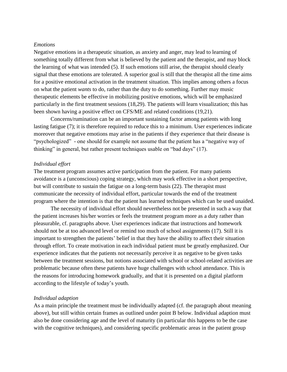#### *Emotions*

Negative emotions in a therapeutic situation, as anxiety and anger, may lead to learning of something totally different from what is believed by the patient and the therapist, and may block the learning of what was intended (5). If such emotions still arise, the therapist should clearly signal that these emotions are tolerated. A superior goal is still that the therapist all the time aims for a positive emotional activation in the treatment situation. This implies among others a focus on what the patient *wants* to do, rather than the duty to do something. Further may music therapeutic elements be effective in mobilizing positive emotions, which will be emphasized particularly in the first treatment sessions (18,29). The patients will learn visualization; this has been shown having a positive effect on CFS/ME and related conditions (19,21).

Concerns/rumination can be an important sustaining factor among patients with long lasting fatigue (7); it is therefore required to reduce this to a minimum. User experiences indicate moreover that negative emotions may arise in the patients if they experience that their disease is "psychologized" - one should for example not assume that the patient has a "negative way of thinking" in general, but rather present techniques usable on "bad days" (17).

#### *Individual effort*

The treatment program assumes active participation from the patient. For many patients avoidance is a (unconscious) coping strategy, which may work effective in a short perspective, but will contribute to sustain the fatigue on a long-term basis (22). The therapist must communicate the necessity of individual effort, particular towards the end of the treatment program where the intention is that the patient has learned techniques which can be used unaided.

The necessity of individual effort should nevertheless not be presented in such a way that the patient increases his/her worries or feels the treatment program more as a duty rather than pleasurable, cf. paragraphs above. User experiences indicate that instructions and homework should not be at too advanced level or remind too much of school assignments (17). Still it is important to strengthen the patients' belief in that they have the ability to affect their situation through effort. To create motivation in each individual patient must be greatly emphasized. Our experience indicates that the patients not necessarily perceive it as negative to be given tasks between the treatment sessions, but notions associated with school or school-related activities are problematic because often these patients have huge challenges with school attendance. This is the reasons for introducing homework gradually, and that it is presented on a digital platform according to the lifestyle of today's youth.

#### *Individual adaption*

As a main principle the treatment must be individually adapted (cf. the paragraph about meaning above), but still within certain frames as outlined under point B below. Individual adaption must also be done considering age and the level of maturity (in particular this happens to be the case with the cognitive techniques), and considering specific problematic areas in the patient group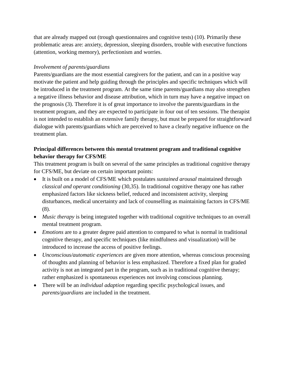that are already mapped out (trough questionnaires and cognitive tests) (10). Primarily these problematic areas are: anxiety, depression, sleeping disorders, trouble with executive functions (attention, working memory), perfectionism and worries.

#### *Involvement of parents/guardians*

Parents/guardians are the most essential caregivers for the patient, and can in a positive way motivate the patient and help guiding through the principles and specific techniques which will be introduced in the treatment program. At the same time parents/guardians may also strengthen a negative illness behavior and disease attribution, which in turn may have a negative impact on the prognosis (3). Therefore it is of great importance to involve the parents/guardians in the treatment program, and they are expected to participate in four out of ten sessions. The therapist is not intended to establish an extensive family therapy, but must be prepared for straightforward dialogue with parents/guardians which are perceived to have a clearly negative influence on the treatment plan.

# **Principal differences between this mental treatment program and traditional cognitive behavior therapy for CFS/ME**

This treatment program is built on several of the same principles as traditional cognitive therapy for CFS/ME, but deviate on certain important points:

- It is built on a model of CFS/ME which postulates *sustained arousal* maintained through *classical and operant conditioning* (30,35). In traditional cognitive therapy one has rather emphasized factors like sickness belief, reduced and inconsistent activity, sleeping disturbances, medical uncertainty and lack of counselling as maintaining factors in CFS/ME (8).
- *Music therapy* is being integrated together with traditional cognitive techniques to an overall mental treatment program.
- *Emotions* are to a greater degree paid attention to compared to what is normal in traditional cognitive therapy, and specific techniques (like mindfulness and visualization) will be introduced to increase the access of positive feelings.
- *Unconscious/automatic experiences* are given more attention, whereas conscious processing of thoughts and planning of behavior is less emphasized. Therefore a fixed plan for graded activity is not an integrated part in the program, such as in traditional cognitive therapy; rather emphasized is spontaneous experiences not involving conscious planning.
- There will be an *individual adaption* regarding specific psychological issues, and *parents/guardians* are included in the treatment.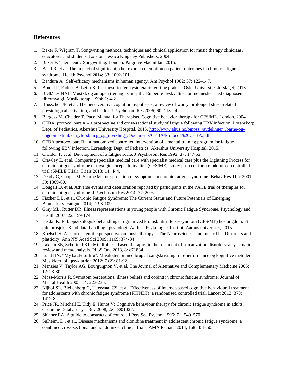#### **References**

- 1. Baker F, Wigram T. Songwriting methods, techniques and clinical application for music therapy clinicians, educatores and students. London: Jessica Kingsley Publishers, 2004.
- 2. Baker F. Therapeutic Songwriting*.* London: Palgrave Macmillan, 2015.
- 3. Band R, et al. The impact of significant other expressed emotion on patient outcomes in chronic fatigue syndrome. Health Psychol 2014; 33: 1092-101.
- 4. Bandura A. Self-efficacy mechanisms in human agency. Am Psychol 1982; 37: 122–147.
- 5. Brodal P, Fadnes B, Leira K. Læringsorientert fysioterapi: teori og praksis. Oslo: Universitetsforslaget, 2013.
- 6. Bjellånes NAL. Musikk og autogen trening i samspill: En bedre livskvalitet for mennesker med diagnosen fibromyalgi. Musikkterapi 1994; 1: 4-21.
- 7. Brosschot JF, et al. The perseverative cognition hypothesis: a review of worry, prolonged stress-related physiological activation, and health. J Psychosom Res 2006; 60: 113-24.
- 8. Burgess M, Chalder T. Pace. Manual for Therapists. Cognitive behavior therapy for CFS/ME. London, 2004.
- 9. CEBA protocol part A a prospective and cross-sectional study of fatigue following EBV infection. Lørenskog: Dept. of Pediatrics, Akershus University Hospital, 2015. [http://www.ahus.no/omoss\\_/avdelinger\\_/barne-og](http://www.ahus.no/omoss_/avdelinger_/barne-og-ungdomsklinikken_/forskning_og_utvikling_/Documents/CEBA/Protocol%20CEBA.pdf)ungdomsklinikken /forskning\_og\_utvikling\_/Documents/CEBA/Protocol%20CEBA.pdf
- 10. CEBA protocol part B a randomized controlled intervention of a mental training program for fatigue following EBV infection. Lørenskog: Dept. of Pediatrics, Akershus University Hospital, 2015.
- 11. Chalder T, et al. Development of a fatigue scale. J Psychosom Res 1993; 37: 147-53.
- 12. Crawley E, et al. Comparing specialist medical care with specialist medical care plus the Lightning Process for chronic fatigue syndrome or myalgic encephalomyelitis (CFS/ME): study protocol for a randomised controlled trial (SMILE Trial). Trials 2013; 14: 444.
- 13. Dendy C, Cooper M, Sharpe M. Interpretation of symptoms in chronic fatigue syndrome. Behav Res Ther 2001; 39: 1369-80.
- 14. Dougall D, et al. Adverse events and deterioration reported by participants in the PACE trial of therapies for chronic fatigue syndrome. J Psychosom Res 2014; 77: 20-6.
- 15. Fischer DB, et al. Chronic Fatigue Syndrome: The Current Status and Future Potentials of Emerging Biomarkers. Fatigue 2014; 2: 93-109.
- 16. Gray ML, Rutter DR. Illness representations in young people with Chronic Fatigue Syndrome. Psychology and Health 2007; 22, 159-174.
- 17. Heldal K. Et biopsykologisk behandlingsprogram ved kronisk utmattelsessyndrom (CFS/ME) hos ungdom. Et pilotprosjekt. Kandidatafhandling i psykologi. Aarhus: Psykologisk Institut, Aarhus universitet, 2015.
- 18. Koelsch S. A neursoscientific perspective on music therapy. I The Neurosciences and music III Disorders and plasticity: Ann NY Acad Sci 2009; 1169: 374-84.
- 19. Lakhan SE, Schofield KL. Mindfulness-based therapies in the treatment of somatization disorders: a systematic review and meta-analysis. PLoS One 2013, 8: e71834.
- 20. Lund HN. "My battle of life". Musikkterapi med brug af sangskrivning, rap-performance og kognitive metoder. Musikkterapi i psykiatrien 2012; 7 (2): 81-92.
- 21. Menzies V, Taylor AG, Bourguignon V, et al. The Journal of Alternative and Complementary Medicine 2006; 12: 23-30.
- 22. Moss-Morris R. Symptom perceptions, illness beliefs and coping in chronic fatigue syndrome. Journal of Mental Health 2005, 14: 223-235.
- 23. Nijhof SL, Bleijenberg G, Uiterwaal CS, et al. Effectiveness of internet-based cognitive behavioural treatment for adolescents with chronic fatigue syndrome (FITNET): a randomised controlled trial. Lancet 2012; 379: 1412-8.
- 24. Price JR, Mitchell E, Tidy E, Hunot V: Cognitive behaviour therapy for chronic fatigue syndrome in adults. Cochrane Database syst Rev 2008, 2:CD001027.
- 25. Skinner EA. A guide to constructs of control. J Pers Soc Psychol 1996; 71: 549–570.
- 26. Sulheim, D., et al., Disease mechanisms and clonidine treatment in adolescent chronic fatigue syndrome: a combined cross-sectional and randomized clinical trial. JAMA Pediatr 2014; 168: 351-60.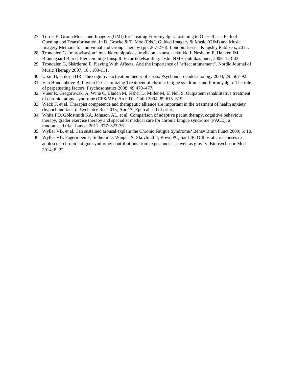- 27. Torres E. Group Music and Imagery (GMI) for Treating Fibromyalgia: Listening to Oneself as a Path of Opening and Transformation. In D. Grocke & T. Moe (Eds.), Guided Imagery & Music (GIM) and Music Imagery Methods for Individual and Group Therapy (pp. 267-276). London: Jessica Kingsley Publisers, 2015.
- 28. Trondalen G. Improvisasjon i musikkterapipraksis: tradisjon kunst teknikk. I: Nesheim E, Hanken IM, Bjøntegaard B, red. Flerstemmige Innspill. En artikkelsamling. Oslo: NMH-publikasjoner, 2005: 123-43.
- 29. Trondalen G, Skårderud F. Playing With Affects. And the importance of "affect attunement". Nordic Journal of Music Therapy 2007; 16:, 100-111.
- 30. Ursin H, Eriksen HR. The cognitive activation theory of stress. Psychoneuroendocrinology 2004; 29: 567-92.
- 31. Van Houdenhove B, Luyten P: Customizing Treatment of chronic fatigue syndrome and fibromyalgia: The role of perpetuating factors. Psychosomatics 2008, 49:470–477.
- 32. Viner R, Gregorowski A, Wine C, Bladen M, Fisher D, Miller M, El Neil S. Outpatient rehabilitative treatment of chronic fatigue syndrome (CFS/ME). Arch Dis Child 2004, 89:615–619.
- 33. Weck F, et al. Therapist competence and therapeutic alliance are important in the treatment of health anxiety (hypochondriasis). Psychiatry Res 2015; Apr 13 [Epub ahead of print]
- 34. White PD, Goldstmith KA, Johnson AL, et al. Comparison of adaptive pacint therapy, cognitive behaviour therapy, grader exercise therapy and specialist medical care for chronic fatigue syndrome (PACE): a randomised trial. Lancet 2011; 377: 823-36.
- 35. Wyller VB, et al. Can sustained arousal explain the Chronic Fatigue Syndrome? Behav Brain Funct 2009; 5: 10.
- 36. Wyller VB, Fagermoen E, Sulheim D, Winger A, Skovlund E, Rowe PC, Saul JP. Orthostatic responses in adolescent chronic fatigue syndrome: contributions from expectancies as well as gravity. Biopsychosoc Med 2014; 8: 22.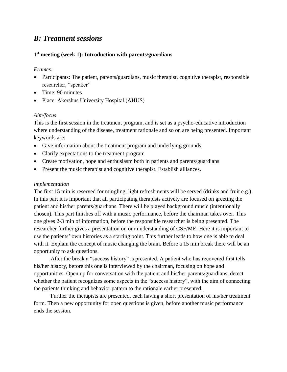# *B: Treatment sessions*

#### **1 st meeting (week 1): Introduction with parents/guardians**

#### *Frames:*

- Participants: The patient, parents/guardians, music therapist, cognitive therapist, responsible researcher, "speaker"
- Time: 90 minutes
- Place: Akershus University Hospital (AHUS)

#### *Aim/focus*

This is the first session in the treatment program, and is set as a psycho-educative introduction where understanding of the disease, treatment rationale and so on are being presented. Important keywords are:

- Give information about the treatment program and underlying grounds
- Clarify expectations to the treatment program
- Create motivation, hope and enthusiasm both in patients and parents/guardians
- Present the music therapist and cognitive therapist. Establish alliances.

#### *Implementation*

The first 15 min is reserved for mingling, light refreshments will be served (drinks and fruit e.g.). In this part it is important that all participating therapists actively are focused on greeting the patient and his/her parents/guardians. There will be played background music (intentionally chosen). This part finishes off with a music performance, before the chairman takes over. This one gives 2-3 min of information, before the responsible researcher is being presented. The researcher further gives a presentation on our understanding of CSF/ME. Here it is important to use the patients' own histories as a starting point. This further leads to how one is able to deal with it. Explain the concept of music changing the brain. Before a 15 min break there will be an opportunity to ask questions.

After the break a "success history" is presented. A patient who has recovered first tells his/her history, before this one is interviewed by the chairman, focusing on hope and opportunities. Open up for conversation with the patient and his/her parents/guardians, detect whether the patient recognizes some aspects in the "success history", with the aim of connecting the patients thinking and behavior pattern to the rationale earlier presented.

Further the therapists are presented, each having a short presentation of his/her treatment form. Then a new opportunity for open questions is given, before another music performance ends the session.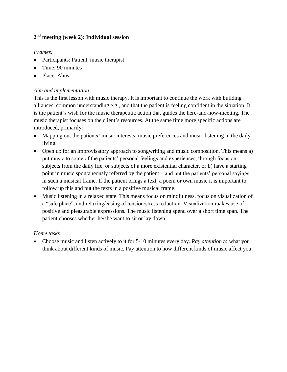# **2 nd meeting (week 2): Individual session**

#### *Frames:*

- Participants: Patient, music therapist
- Time: 90 minutes
- Place: Ahus

#### *Aim and implementation*

This is the first lesson with music therapy. It is important to continue the work with building alliances, common understanding e.g., and that the patient is feeling confident in the situation. It is the patient's wish for the music therapeutic action that guides the here-and-now-meeting. The music therapist focuses on the client's resources. At the same time more specific actions are introduced, primarily:

- Mapping out the patients' music interests: music preferences and music listening in the daily living.
- Open up for an improvisatory approach to songwriting and music composition. This means a) put music to some of the patients' personal feelings and experiences, through focus on subjects from the daily life, or subjects of a more existential character, or b) have a starting point in music spontaneously referred by the patient – and put the patients' personal sayings in such a musical frame. If the patient brings a text, a poem or own music it is important to follow up this and put the texts in a positive musical frame.
- Music listening in a relaxed state. This means focus on mindfulness, focus on visualization of a "safe place", and relaxing/easing of tension/stress reduction. Visualization makes use of positive and pleasurable expressions. The music listening spend over a short time span. The patient chooses whether he/she want to sit or lay down.

#### *Home tasks*

 Choose music and listen actively to it for 5-10 minutes every day. *Pay attention to* what you think about different kinds of music. Pay attention to how different kinds of music affect you.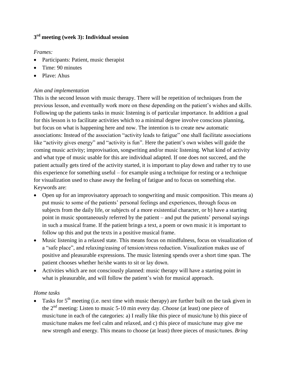# **3 rd meeting (week 3): Individual session**

#### *Frames:*

- Participants: Patient, music therapist
- Time: 90 minutes
- Plave: Ahus

#### *Aim and implementation*

This is the second lesson with music therapy. There will be repetition of techniques from the previous lesson, and eventually work more on these depending on the patient's wishes and skills. Following up the patients tasks in music listening is of particular importance. In addition a goal for this lesson is to facilitate activities which to a minimal degree involve conscious planning, but focus on what is happening here and now. The intention is to create new automatic associations: Instead of the association "activity leads to fatigue" one shall facilitate associations like "activity gives energy" and "activity is fun". Here the patient's own wishes will guide the coming music activity; improvisation, songwriting and/or music listening. What kind of activity and what type of music usable for this are individual adapted. If one does not succeed, and the patient actually gets tired of the activity started, it is important to play down and rather try to use this experience for something useful – for example using a technique for resting or a technique for visualization used to chase away the feeling of fatigue and to focus on something else. Keywords are:

- Open up for an improvisatory approach to songwriting and music composition. This means a) put music to some of the patients' personal feelings and experiences, through focus on subjects from the daily life, or subjects of a more existential character, or b) have a starting point in music spontaneously referred by the patient – and put the patients' personal sayings in such a musical frame. If the patient brings a text, a poem or own music it is important to follow up this and put the texts in a positive musical frame.
- Music listening in a relaxed state. This means focus on mindfulness, focus on visualization of a "safe place", and relaxing/easing of tension/stress reduction. Visualization makes use of positive and pleasurable expressions. The music listening spends over a short time span. The patient chooses whether he/she wants to sit or lay down.
- Activities which are not consciously planned: music therapy will have a starting point in what is pleasurable, and will follow the patient's wish for musical approach.

# *Home tasks*

Tasks for 5<sup>th</sup> meeting (i.e. next time with music therapy) are further built on the task given in the 2nd meeting: Listen to music 5-10 min every day. *Choose* (at least) one piece of music/tune in each of the categories: a) I really like this piece of music/tune b) this piece of music/tune makes me feel calm and relaxed, and c) this piece of music/tune may give me new strength and energy. This means to choose (at least) three pieces of music/tunes. *Bring*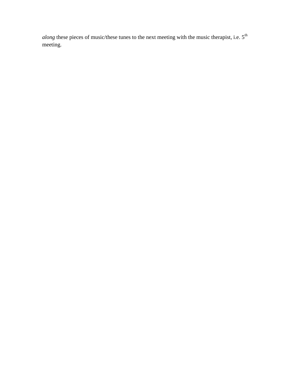*along* these pieces of music/these tunes to the next meeting with the music therapist, i.e.  $5^{th}$ meeting.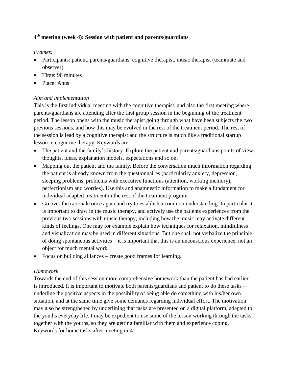# **4 th meeting (week 4): Session with patient and parents/guardians**

#### *Frames:*

- Participants: patient, parents/guardians, cognitive therapist, music therapist (teammate and observer)
- Time: 90 minutes
- Place: Ahus

#### *Aim and implementation*

This is the first individual meeting with the cognitive therapist, and also the first meeting where parents/guardians are attending after the first group session in the beginning of the treatment period. The lesson opens with the music therapist going through what have been subjects the two previous sessions, and how this may be evolved in the rest of the treatment period. The rest of the session is lead by a cognitive therapist and the structure is much like a traditional startup lesson in cognitive therapy. Keywords are:

- The patient and the family's history. Explore the patient and parents/guardians points of view, thoughts, ideas, explanation models, expectations and so on.
- Mapping out the patient and the family. Before the conversation much information regarding the patient is already known from the questionnaires (particularily anxiety, depression, sleeping problems, problems with executive functions (attention, working memory), perfectionism and worries). Use this and anamnestic information to make a fundament for individual adapted treatment in the rest of the treatment program.
- Go over the rationale once again and try to establish a common understanding. In particular it is important to draw in the music therapy, and actively use the patients experiences from the previous two sessions with music therapy, including how the music may activate different kinds of feelings. One may for example explain how techniques for relaxation, mindfulness and visualization may be used in different situations. But one shall not verbalize the principle of doing spontaneous activities – it is important that this is an unconscious experience, not an object for much mental work.
- Focus on building alliances create good frames for learning.

# *Homework*

Towards the end of this session more comprehensive homework than the patient has had earlier is introduced. It is important to motivate both parents/guardians and patient to do these tasks – underline the positive aspects in the possibility of being able do something with his/her own situation, and at the same time give some demands regarding individual effort. The motivation may also be strengthened by underlining that tasks are presented on a digital platform, adapted to the youths everyday life. I may be expedient to use some of the lesson working through the tasks together with the youths, so they are getting familiar with them and experience coping. Keywords for home tasks after meeting nr 4: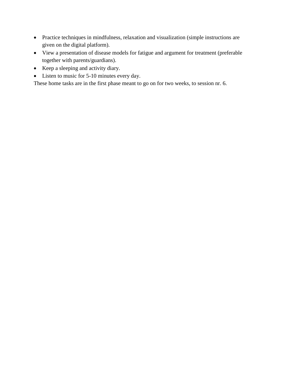- Practice techniques in mindfulness, relaxation and visualization (simple instructions are given on the digital platform).
- View a presentation of disease models for fatigue and argument for treatment (preferable together with parents/guardians).
- Keep a sleeping and activity diary.
- Listen to music for 5-10 minutes every day.

These home tasks are in the first phase meant to go on for two weeks, to session nr. 6.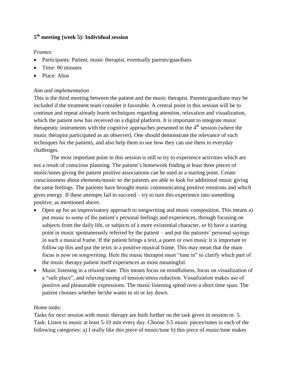# **5 th meeting (week 5): Individual session**

#### *Frames:*

- Participants: Patient, music therapist, eventually parents/guardians
- Time: 90 minutes
- Place: Ahus

#### *Aim and implementation*

This is the third meeting between the patient and the music therapist. Parents/guardians may be included if the treatment team consider it favorable. A central point in this session will be to continue and repeat already learnt techniques regarding attention, relaxation and visualization, which the patient now has received on a digital platform. It is important to integrate music therapeutic instruments with the cognitive approaches presented in the  $4<sup>th</sup>$  session (where the music therapist participated as an observer). One should demonstrate the relevance of such techniques for the patients, and also help them to see how they can use them in everyday challenges.

The most important point in this session is still to try to experience activities which are not a result of conscious planning. The patient's homework finding at least three pieces of music/notes giving the patient positive associations can be used as a starting point. Create consciousness about elements/music so the patients are able to look for additional music giving the same feelings. The patients have brought music communicating positive emotions and which gives energy. If these attempts fail to succeed – try to turn this experience into something positive, as mentioned above.

- Open up for an improvisatory approach to songwriting and music composition. This means a) put music to some of the patient's personal feelings and experiences, through focusing on subjects from the daily life, or subjects of a more existential character, or b) have a starting point in music spontaneously referred by the patient – and put the patients' personal sayings in such a musical frame. If the patient brings a text, a poem or own music it is important to follow up this and put the texts in a positive musical frame. This may mean that the main focus is now on songwriting. Here the music therapist must "tune in" to clarify which part of the music therapy patient itself experiences as most meaningful.
- Music listening in a relaxed state. This means focus on mindfulness, focus on visualization of a "safe place", and relaxing/easing of tension/stress reduction. Visualization makes use of positive and pleasurable expressions. The music listening spend over a short time span. The patient chooses whether he/she wants to sit or lay down.

# *Home tasks:*

Tasks for next session with music therapy are built further on the task given in session nr. 5. Task: Listen to music at least 5-10 min every day. Choose 3-5 music pieces/tunes in each of the following categories: a) I really like this piece of music/tune b) this piece of music/tune makes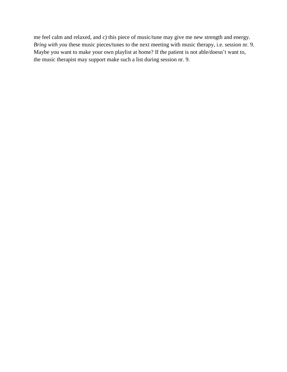me feel calm and relaxed, and c) this piece of music/tune may give me new strength and energy. *Bring with you* these music pieces/tunes to the next meeting with music therapy, i.e. session nr. 9. Maybe you want to make your own playlist at home? If the patient is not able/doesn't want to, the music therapist may support make such a list during session nr. 9.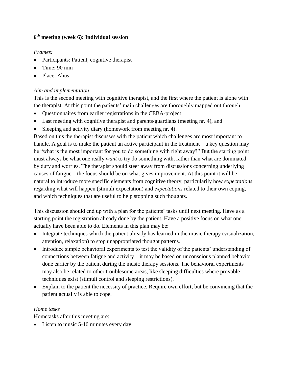# **6 th meeting (week 6): Individual session**

# *Frames:*

- Participants: Patient, cognitive therapist
- $\bullet$  Time: 90 min
- Place: Ahus

# *Aim and implementation*

This is the second meeting with cognitive therapist, and the first where the patient is alone with the therapist. At this point the patients' main challenges are thoroughly mapped out through

- Questionnaires from earlier registrations in the CEBA-project
- Last meeting with cognitive therapist and parents/guardians (meeting nr. 4), and
- Sleeping and activity diary (homework from meeting nr. 4).

Based on this the therapist discusses with the patient which challenges are most important to handle. A goal is to make the patient an active participant in the treatment  $-$  a key question may be "what is the most important for you to do something with right away?" But the starting point must always be what one really *want* to try do something with, rather than what are dominated by duty and worries. The therapist should steer away from discussions concerning underlying causes of fatigue – the focus should be on what gives improvement. At this point it will be natural to introduce more specific elements from cognitive theory, particularily how *expectations* regarding what will happen (stimuli expectation) and *expectations* related to their own coping, and which techniques that are useful to help stopping such thoughts.

This discussion should end up with a plan for the patients' tasks until next meeting. Have as a starting point the registration already done by the patient. Have a positive focus on what one actually have been able to do. Elements in this plan may be:

- Integrate techniques which the patient already has learned in the music therapy (visualization, attention, relaxation) to stop unappropriated thought patterns.
- Introduce simple behavioral experiments to test the validity of the patients' understanding of connections between fatigue and activity – it may be based on unconscious planned behavior done earlier by the patient during the music therapy sessions. The behavioral experiments may also be related to other troublesome areas, like sleeping difficulties where provable techniques exist (stimuli control and sleeping restrictions).
- Explain to the patient the necessity of practice. Require own effort, but be convincing that the patient actually is able to cope.

# *Home tasks*

Hometasks after this meeting are:

• Listen to music 5-10 minutes every day.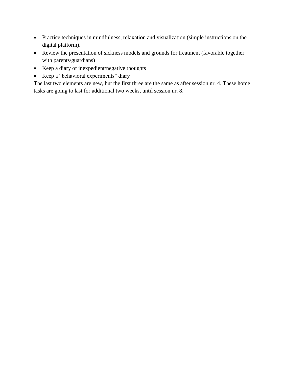- Practice techniques in mindfulness, relaxation and visualization (simple instructions on the digital platform).
- Review the presentation of sickness models and grounds for treatment (favorable together with parents/guardians)
- Keep a diary of inexpedient/negative thoughts
- Keep a "behavioral experiments" diary

The last two elements are new, but the first three are the same as after session nr. 4. These home tasks are going to last for additional two weeks, until session nr. 8.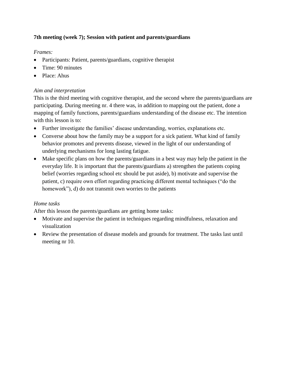# **7th meeting (week 7); Session with patient and parents/guardians**

#### *Frames:*

- Participants: Patient, parents/guardians, cognitive therapist
- Time: 90 minutes
- Place: Ahus

#### *Aim and interpretation*

This is the third meeting with cognitive therapist, and the second where the parents/guardians are participating. During meeting nr. 4 there was, in addition to mapping out the patient, done a mapping of family functions, parents/guardians understanding of the disease etc. The intention with this lesson is to:

- Further investigate the families' disease understanding, worries, explanations etc.
- Converse about how the family may be a support for a sick patient. What kind of family behavior promotes and prevents disease, viewed in the light of our understanding of underlying mechanisms for long lasting fatigue.
- Make specific plans on how the parents/guardians in a best way may help the patient in the everyday life. It is important that the parents/guardians a) strengthen the patients coping belief (worries regarding school etc should be put aside), b) motivate and supervise the patient, c) require own effort regarding practicing different mental techniques ("do the homework"), d) do not transmit own worries to the patients

# *Home tasks*

After this lesson the parents/guardians are getting home tasks:

- Motivate and supervise the patient in techniques regarding mindfulness, relaxation and visualization
- Review the presentation of disease models and grounds for treatment. The tasks last until meeting nr 10.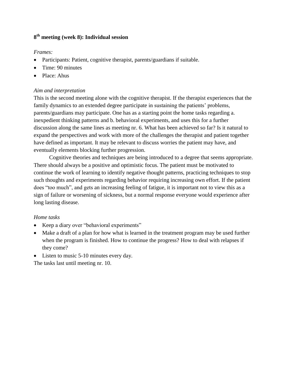# **8 th meeting (week 8): Individual session**

#### *Frames:*

- Participants: Patient, cognitive therapist, parents/guardians if suitable.
- Time: 90 minutes
- Place: Ahus

#### *Aim and interpretation*

This is the second meeting alone with the cognitive therapist. If the therapist experiences that the family dynamics to an extended degree participate in sustaining the patients' problems, parents/guardians may participate. One has as a starting point the home tasks regarding a. inexpedient thinking patterns and b. behavioral experiments, and uses this for a further discussion along the same lines as meeting nr. 6. What has been achieved so far? Is it natural to expand the perspectives and work with more of the challenges the therapist and patient together have defined as important. It may be relevant to discuss worries the patient may have, and eventually elements blocking further progression.

Cognitive theories and techniques are being introduced to a degree that seems appropriate. There should always be a positive and optimistic focus. The patient must be motivated to continue the work of learning to identify negative thought patterns, practicing techniques to stop such thoughts and experiments regarding behavior requiring increasing own effort. If the patient does "too much", and gets an increasing feeling of fatigue, it is important not to view this as a sign of failure or worsening of sickness, but a normal response everyone would experience after long lasting disease.

# *Home tasks*

- Keep a diary over "behavioral experiments"
- Make a draft of a plan for how what is learned in the treatment program may be used further when the program is finished. How to continue the progress? How to deal with relapses if they come?
- Listen to music 5-10 minutes every day.

The tasks last until meeting nr. 10.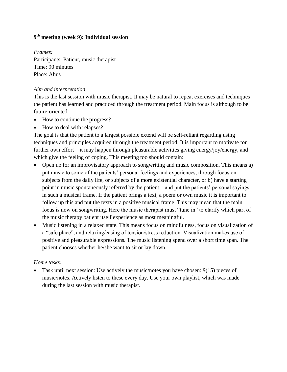# **9 th meeting (week 9): Individual session**

*Frames:* Participants: Patient, music therapist Time: 90 minutes Place: Ahus

#### *Aim and interpretation*

This is the last session with music therapist. It may be natural to repeat exercises and techniques the patient has learned and practiced through the treatment period. Main focus is although to be future-oriented:

- How to continue the progress?
- How to deal with relapses?

The goal is that the patient to a largest possible extend will be self-reliant regarding using techniques and principles acquired through the treatment period. It is important to motivate for further own effort – it may happen through pleasurable activities giving energy/joy/energy, and which give the feeling of coping. This meeting too should contain:

- Open up for an improvisatory approach to songwriting and music composition. This means a) put music to some of the patients' personal feelings and experiences, through focus on subjects from the daily life, or subjects of a more existential character, or b) have a starting point in music spontaneously referred by the patient – and put the patients' personal sayings in such a musical frame. If the patient brings a text, a poem or own music it is important to follow up this and put the texts in a positive musical frame. This may mean that the main focus is now on songwriting. Here the music therapist must "tune in" to clarify which part of the music therapy patient itself experience as most meaningful.
- Music listening in a relaxed state. This means focus on mindfulness, focus on visualization of a "safe place", and relaxing/easing of tension/stress reduction. Visualization makes use of positive and pleasurable expressions. The music listening spend over a short time span. The patient chooses whether he/she want to sit or lay down.

#### *Home tasks:*

 $\bullet$  Task until next session: Use actively the music/notes you have chosen: 9(15) pieces of music/notes. Actively listen to these every day. Use your own playlist, which was made during the last session with music therapist.